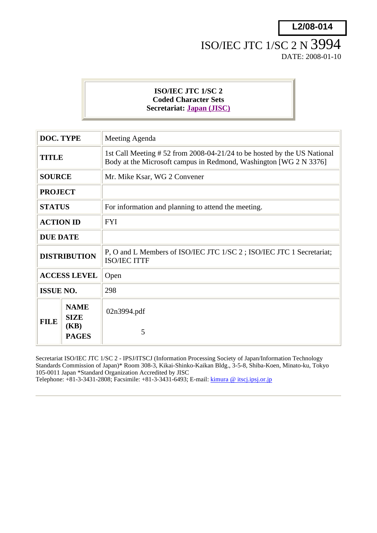# ISO/IEC JTC 1/SC 2 N 3994 DATE: 2008-01-10

## **ISO/IEC JTC 1/SC 2 Coded Character Sets Secretariat: Japan (JISC)**

| <b>DOC. TYPE</b>    |                                                    | Meeting Agenda                                                                                                                               |  |
|---------------------|----------------------------------------------------|----------------------------------------------------------------------------------------------------------------------------------------------|--|
| TITLE               |                                                    | 1st Call Meeting #52 from 2008-04-21/24 to be hosted by the US National<br>Body at the Microsoft campus in Redmond, Washington [WG 2 N 3376] |  |
| <b>SOURCE</b>       |                                                    | Mr. Mike Ksar, WG 2 Convener                                                                                                                 |  |
| <b>PROJECT</b>      |                                                    |                                                                                                                                              |  |
| <b>STATUS</b>       |                                                    | For information and planning to attend the meeting.                                                                                          |  |
| <b>ACTION ID</b>    |                                                    | <b>FYI</b>                                                                                                                                   |  |
| <b>DUE DATE</b>     |                                                    |                                                                                                                                              |  |
| <b>DISTRIBUTION</b> |                                                    | P, O and L Members of ISO/IEC JTC 1/SC 2; ISO/IEC JTC 1 Secretariat;<br><b>ISO/IEC ITTF</b>                                                  |  |
| <b>ACCESS LEVEL</b> |                                                    | Open                                                                                                                                         |  |
| <b>ISSUE NO.</b>    |                                                    | 298                                                                                                                                          |  |
| <b>FILE</b>         | <b>NAME</b><br><b>SIZE</b><br>(KB)<br><b>PAGES</b> | 02n3994.pdf<br>5                                                                                                                             |  |

Secretariat ISO/IEC JTC 1/SC 2 - IPSJ/ITSCJ (Information Processing Society of Japan/Information Technology Standards Commission of Japan)\* Room 308-3, Kikai-Shinko-Kaikan Bldg., 3-5-8, Shiba-Koen, Minato-ku, Tokyo 105-0011 Japan \*Standard Organization Accredited by JISC Telephone: +81-3-3431-2808; Facsimile: +81-3-3431-6493; E-mail: kimura @ itscj.ipsj.or.jp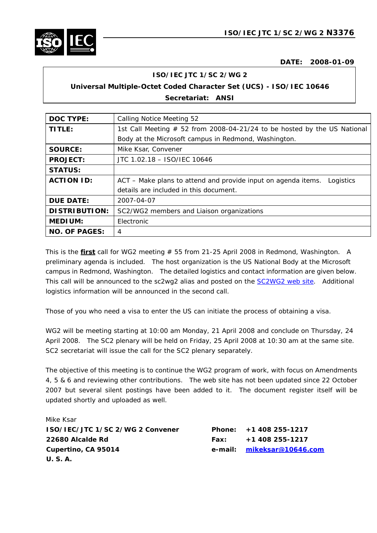

**DATE: 2008-01-09** 

#### **ISO/IEC JTC 1/SC 2/WG 2**

# **Universal Multiple-Octet Coded Character Set (UCS) - ISO/IEC 10646**

#### **Secretariat: ANSI**

| <b>DOC TYPE:</b>     | <b>Calling Notice Meeting 52</b>                                           |  |  |
|----------------------|----------------------------------------------------------------------------|--|--|
| TITLE:               | 1st Call Meeting $# 52$ from 2008-04-21/24 to be hosted by the US National |  |  |
|                      | Body at the Microsoft campus in Redmond, Washington.                       |  |  |
| <b>SOURCE:</b>       | Mike Ksar, Convener                                                        |  |  |
| <b>PROJECT:</b>      | JTC 1.02.18 - ISO/IEC 10646                                                |  |  |
| <b>STATUS:</b>       |                                                                            |  |  |
| <b>ACTION ID:</b>    | ACT – Make plans to attend and provide input on agenda items.<br>Logistics |  |  |
|                      | details are included in this document.                                     |  |  |
| <b>DUE DATE:</b>     | 2007-04-07                                                                 |  |  |
| <b>DISTRIBUTION:</b> | SC2/WG2 members and Liaison organizations                                  |  |  |
| <b>MEDIUM:</b>       | Electronic                                                                 |  |  |
| <b>NO. OF PAGES:</b> | 4                                                                          |  |  |

This is the *first* call for WG2 meeting # 55 from 21-25 April 2008 in Redmond, Washington. A preliminary agenda is included. The host organization is the US National Body at the Microsoft campus in Redmond, Washington. The detailed logistics and contact information are given below. This call will be announced to the sc2wg2 alias and posted on the SC2WG2 web site. Additional logistics information will be announced in the second call.

*Those of you who need a visa to enter the US can initiate the process of obtaining a visa.*

WG2 will be meeting starting at 10:00 am Monday, 21 April 2008 and conclude on Thursday, 24 April 2008. The SC2 plenary will be held on Friday, 25 April 2008 at 10:30 am at the same site. SC2 secretariat will issue the call for the SC2 plenary separately.

The objective of this meeting is to continue the WG2 program of work, with focus on Amendments 4, 5 & 6 and reviewing other contributions. The web site has not been updated since 22 October 2007 but several silent postings have been added to it. The document register itself will be updated shortly and uploaded as well.

| Mike Ksar                        |                            |
|----------------------------------|----------------------------|
| ISO/IEC/JTC 1/SC 2/WG 2 Convener | Phone: $+1408255-1217$     |
| 22680 Alcalde Rd                 | Fax: $+1408255-1217$       |
| Cupertino, CA 95014              | e-mail: mikeksar@10646.com |
| <b>U.S.A.</b>                    |                            |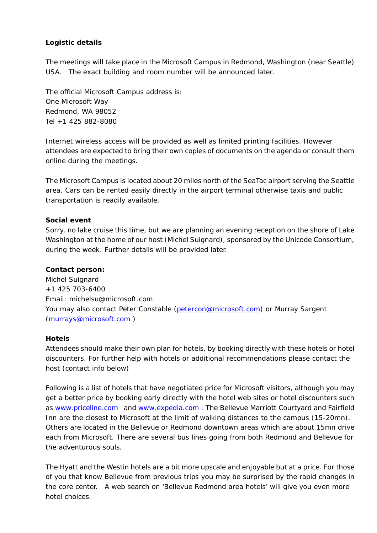### **Logistic details**

The meetings will take place in the Microsoft Campus in Redmond, Washington (near Seattle) USA. *The exact building and room number will be announced later.* 

The official Microsoft Campus address is: One Microsoft Way Redmond, WA 98052 Tel +1 425 882-8080

Internet wireless access will be provided as well as limited printing facilities. However attendees are expected to bring their own copies of documents on the agenda or consult them online during the meetings.

The Microsoft Campus is located about 20 miles north of the SeaTac airport serving the Seattle area. Cars can be rented easily directly in the airport terminal otherwise taxis and public transportation is readily available.

#### **Social event**

Sorry, no lake cruise this time, but we are planning an evening reception on the shore of Lake Washington at the home of our host (Michel Suignard), sponsored by the Unicode Consortium, during the week. Further details will be provided later.

#### **Contact person:**

Michel Suignard +1 425 703-6400 Email: michelsu@microsoft.com You may also contact Peter Constable (petercon@microsoft.com) or Murray Sargent (murrays@microsoft.com )

#### **Hotels**

Attendees should make their own plan for hotels, by booking directly with these hotels or hotel discounters. For further help with hotels or additional recommendations please contact the host (contact info below)

Following is a list of hotels that have negotiated price for Microsoft visitors, although you may get a better price by booking early directly with the hotel web sites or hotel discounters such as www.priceline.com and www.expedia.com . The Bellevue Marriott Courtyard and Fairfield Inn are the closest to Microsoft at the limit of walking distances to the campus (15-20mn). Others are located in the Bellevue or Redmond downtown areas which are about 15mn drive each from Microsoft. There are several bus lines going from both Redmond and Bellevue for the adventurous souls.

The Hyatt and the Westin hotels are a bit more upscale and enjoyable but at a price. For those of you that know Bellevue from previous trips you may be surprised by the rapid changes in the core center. A web search on 'Bellevue Redmond area hotels' will give you even more hotel choices.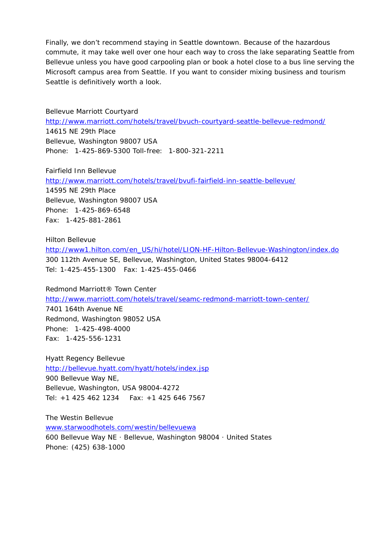Finally, we don't recommend staying in Seattle downtown. Because of the hazardous commute, it may take well over one hour each way to cross the lake separating Seattle from Bellevue unless you have good carpooling plan or book a hotel close to a bus line serving the Microsoft campus area from Seattle. If you want to consider mixing business and tourism Seattle is definitively worth a look.

Bellevue Marriott Courtyard http://www.marriott.com/hotels/travel/bvuch-courtyard-seattle-bellevue-redmond/ 14615 NE 29th Place Bellevue, Washington 98007 USA Phone: 1-425-869-5300 Toll-free: 1-800-321-2211

Fairfield Inn Bellevue http://www.marriott.com/hotels/travel/bvufi-fairfield-inn-seattle-bellevue/ 14595 NE 29th Place Bellevue, Washington 98007 USA Phone: 1-425-869-6548 Fax: 1-425-881-2861

Hilton Bellevue http://www1.hilton.com/en\_US/hi/hotel/LION-HF-Hilton-Bellevue-Washington/index.do 300 112th Avenue SE, Bellevue, Washington, United States 98004-6412 Tel: 1-425-455-1300 Fax: 1-425-455-0466

Redmond Marriott® Town Center http://www.marriott.com/hotels/travel/seamc-redmond-marriott-town-center/ 7401 164th Avenue NE Redmond, Washington 98052 USA Phone: 1-425-498-4000 Fax: 1-425-556-1231

Hyatt Regency Bellevue http://bellevue.hyatt.com/hyatt/hotels/index.jsp 900 Bellevue Way NE, Bellevue, Washington, USA 98004-4272 Tel: +1 425 462 1234 Fax: +1 425 646 7567

The Westin Bellevue www.starwoodhotels.com/westin/bellevuewa 600 Bellevue Way NE · Bellevue, Washington 98004 · United States Phone: (425) 638-1000